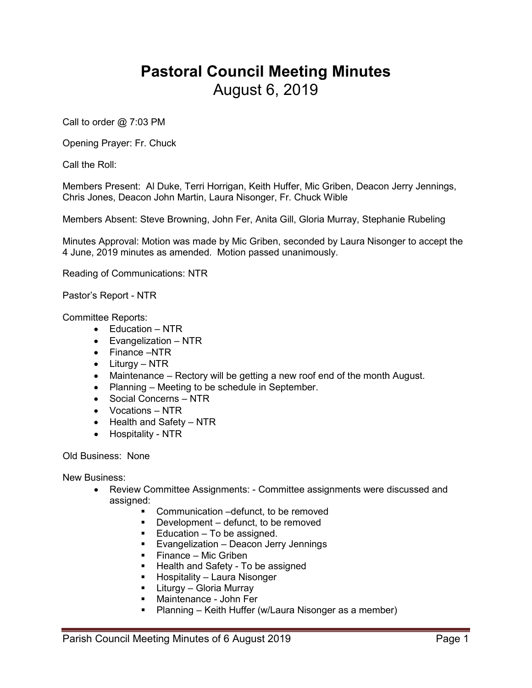## **Pastoral Council Meeting Minutes** August 6, 2019

Call to order @ 7:03 PM

Opening Prayer: Fr. Chuck

Call the Roll:

Members Present: Al Duke, Terri Horrigan, Keith Huffer, Mic Griben, Deacon Jerry Jennings, Chris Jones, Deacon John Martin, Laura Nisonger, Fr. Chuck Wible

Members Absent: Steve Browning, John Fer, Anita Gill, Gloria Murray, Stephanie Rubeling

Minutes Approval: Motion was made by Mic Griben, seconded by Laura Nisonger to accept the 4 June, 2019 minutes as amended. Motion passed unanimously.

Reading of Communications: NTR

Pastor's Report - NTR

Committee Reports:

- Education NTR
- Evangelization NTR
- Finance –NTR
- Liturgy NTR
- Maintenance Rectory will be getting a new roof end of the month August.
- Planning Meeting to be schedule in September.
- Social Concerns NTR
- Vocations NTR
- Health and Safety NTR
- Hospitality NTR

Old Business: None

New Business:

- Review Committee Assignments: Committee assignments were discussed and assigned:
	- Communication –defunct, to be removed
	- **•** Development defunct, to be removed
	- $\blacksquare$  Education To be assigned.
	- **Evangelization Deacon Jerry Jennings**
	- $\blacksquare$  Finance Mic Griben
	- **Health and Safety To be assigned**
	- Hospitality Laura Nisonger
	- **-** Liturgy Gloria Murray
	- Maintenance John Fer
	- **Planning Keith Huffer (w/Laura Nisonger as a member)**